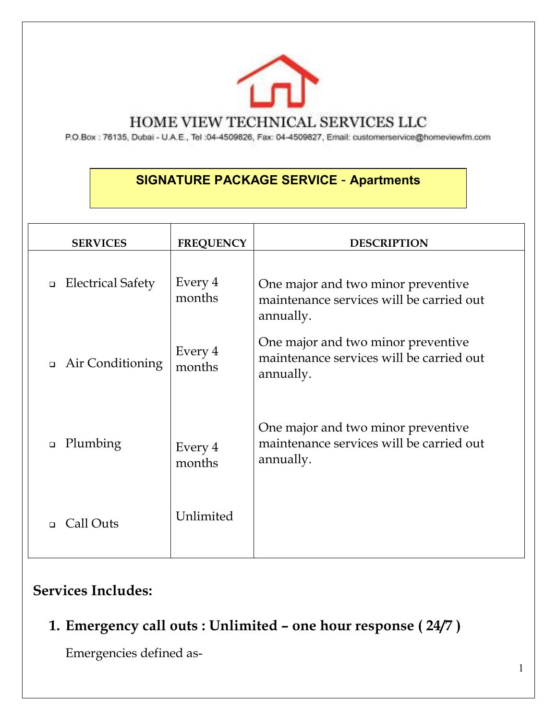

#### HOME VIEW TECHNICAL SERVICES LLC

P.O.Box : 76135, Dubai - U.A.E., Tel :04-4509826, Fax: 04-4509827, Email: customerservice@homeviewfm.com

## **SIGNATURE PACKAGE SERVICE – Apartments**

| <b>SERVICES</b>                    | <b>FREQUENCY</b>  | <b>DESCRIPTION</b>                                                                          |
|------------------------------------|-------------------|---------------------------------------------------------------------------------------------|
| <b>Electrical Safety</b><br>$\Box$ | Every 4<br>months | One major and two minor preventive<br>maintenance services will be carried out<br>annually. |
| Air Conditioning<br>$\Box$         | Every 4<br>months | One major and two minor preventive<br>maintenance services will be carried out<br>annually. |
| Plumbing<br>$\Box$                 | Every 4<br>months | One major and two minor preventive<br>maintenance services will be carried out<br>annually. |
| Call Outs<br>$\Box$                | Unlimited         |                                                                                             |

### **Services Includes:**

**1. Emergency call outs : Unlimited – one hour response ( 24/7 )** 

Emergencies defined as-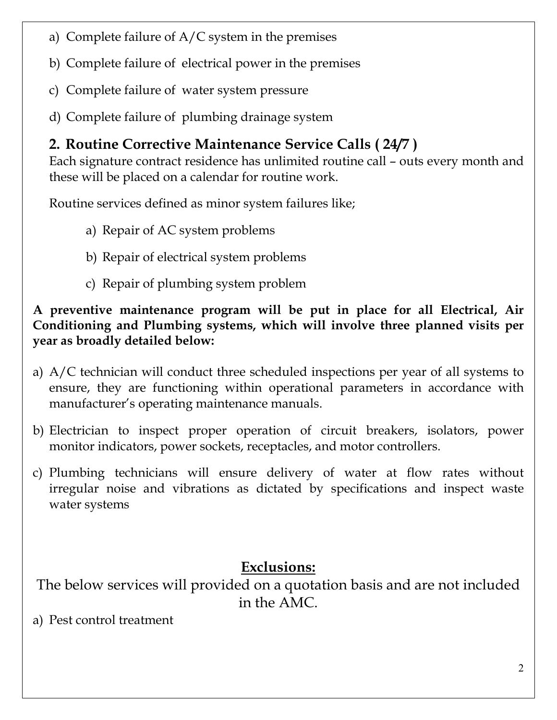- a) Complete failure of A/C system in the premises
- b) Complete failure of electrical power in the premises
- c) Complete failure of water system pressure
- d) Complete failure of plumbing drainage system

# **2. Routine Corrective Maintenance Service Calls ( 24/7 )**

Each signature contract residence has unlimited routine call – outs every month and these will be placed on a calendar for routine work.

Routine services defined as minor system failures like;

- a) Repair of AC system problems
- b) Repair of electrical system problems
- c) Repair of plumbing system problem

**A preventive maintenance program will be put in place for all Electrical, Air Conditioning and Plumbing systems, which will involve three planned visits per year as broadly detailed below:** 

- a) A/C technician will conduct three scheduled inspections per year of all systems to ensure, they are functioning within operational parameters in accordance with manufacturer's operating maintenance manuals.
- b) Electrician to inspect proper operation of circuit breakers, isolators, power monitor indicators, power sockets, receptacles, and motor controllers.
- c) Plumbing technicians will ensure delivery of water at flow rates without irregular noise and vibrations as dictated by specifications and inspect waste water systems

# **Exclusions:**

The below services will provided on a quotation basis and are not included in the AMC.

a) Pest control treatment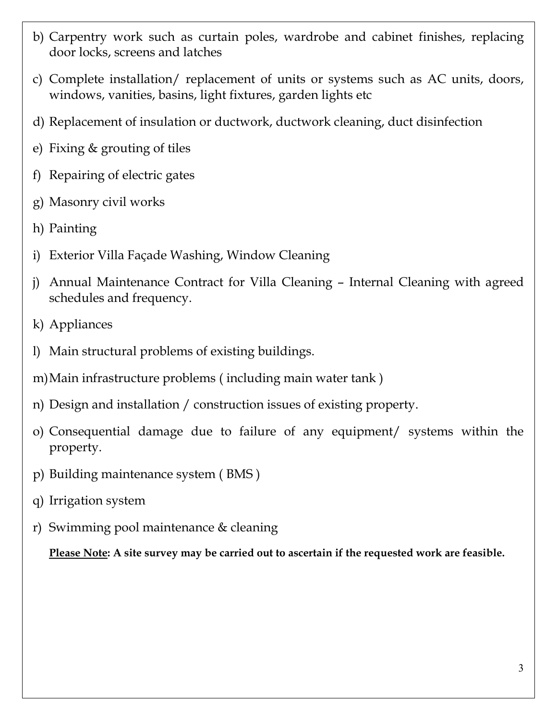- b) Carpentry work such as curtain poles, wardrobe and cabinet finishes, replacing door locks, screens and latches
- c) Complete installation/ replacement of units or systems such as AC units, doors, windows, vanities, basins, light fixtures, garden lights etc
- d) Replacement of insulation or ductwork, ductwork cleaning, duct disinfection
- e) Fixing & grouting of tiles
- f) Repairing of electric gates
- g) Masonry civil works
- h) Painting
- i) Exterior Villa Façade Washing, Window Cleaning
- j) Annual Maintenance Contract for Villa Cleaning Internal Cleaning with agreed schedules and frequency.
- k) Appliances
- l) Main structural problems of existing buildings.
- m)Main infrastructure problems ( including main water tank )
- n) Design and installation / construction issues of existing property.
- o) Consequential damage due to failure of any equipment/ systems within the property.
- p) Building maintenance system ( BMS )
- q) Irrigation system
- r) Swimming pool maintenance & cleaning

**Please Note: A site survey may be carried out to ascertain if the requested work are feasible.**